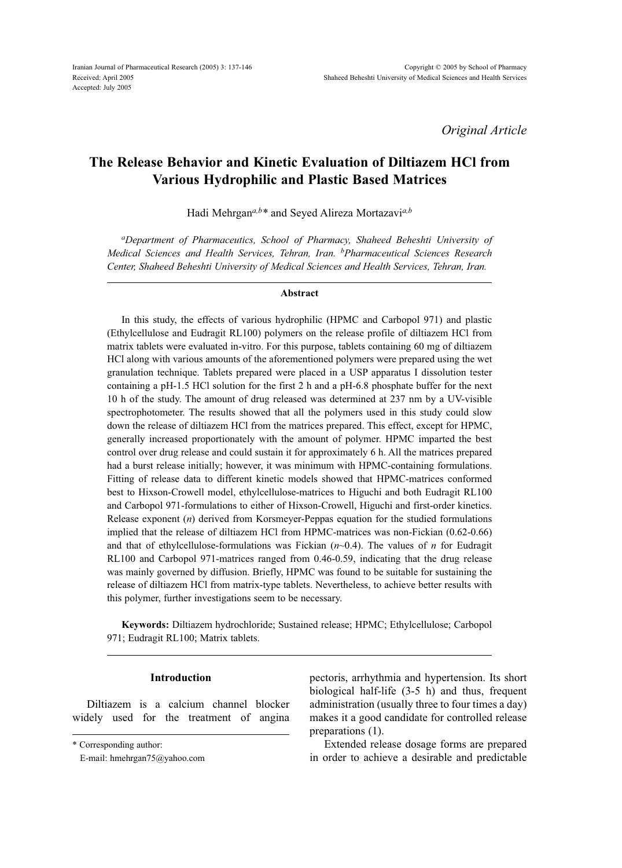*Original Article*

# **The Release Behavior and Kinetic Evaluation of Diltiazem HCl from Various Hydrophilic and Plastic Based Matrices**

Hadi Mehrgan*a,b\** and Seyed Alireza Mortazavi*a,b*

*aDepartment of Pharmaceutics, School of Pharmacy, Shaheed Beheshti University of Medical Sciences and Health Services, Tehran, Iran. bPharmaceutical Sciences Research Center, Shaheed Beheshti University of Medical Sciences and Health Services, Tehran, Iran.*

#### **Abstract**

In this study, the effects of various hydrophilic (HPMC and Carbopol 971) and plastic (Ethylcellulose and Eudragit RL100) polymers on the release profile of diltiazem HCl from matrix tablets were evaluated in-vitro. For this purpose, tablets containing 60 mg of diltiazem HCl along with various amounts of the aforementioned polymers were prepared using the wet granulation technique. Tablets prepared were placed in a USP apparatus I dissolution tester containing a pH-1.5 HCl solution for the first 2 h and a pH-6.8 phosphate buffer for the next 10 h of the study. The amount of drug released was determined at 237 nm by a UV-visible spectrophotometer. The results showed that all the polymers used in this study could slow down the release of diltiazem HCl from the matrices prepared. This effect, except for HPMC, generally increased proportionately with the amount of polymer. HPMC imparted the best control over drug release and could sustain it for approximately 6 h. All the matrices prepared had a burst release initially; however, it was minimum with HPMC-containing formulations. Fitting of release data to different kinetic models showed that HPMC-matrices conformed best to Hixson-Crowell model, ethylcellulose-matrices to Higuchi and both Eudragit RL100 and Carbopol 971-formulations to either of Hixson-Crowell, Higuchi and first-order kinetics. Release exponent (*n*) derived from Korsmeyer-Peppas equation for the studied formulations implied that the release of diltiazem HCl from HPMC-matrices was non-Fickian (0.62-0.66) and that of ethylcellulose-formulations was Fickian  $(n<sub>0.4</sub>)$ . The values of *n* for Eudragit RL100 and Carbopol 971-matrices ranged from 0.46-0.59, indicating that the drug release was mainly governed by diffusion. Briefly, HPMC was found to be suitable for sustaining the release of diltiazem HCl from matrix-type tablets. Nevertheless, to achieve better results with this polymer, further investigations seem to be necessary.

**Keywords:** Diltiazem hydrochloride; Sustained release; HPMC; Ethylcellulose; Carbopol 971; Eudragit RL100; Matrix tablets.

# **Introduction**

Diltiazem is a calcium channel blocker widely used for the treatment of angina

pectoris, arrhythmia and hypertension. Its short biological half-life (3-5 h) and thus, frequent administration (usually three to four times a day) makes it a good candidate for controlled release preparations (1).

Extended release dosage forms are prepared in order to achieve a desirable and predictable

<sup>\*</sup> Corresponding author:

E-mail: hmehrgan75@yahoo.com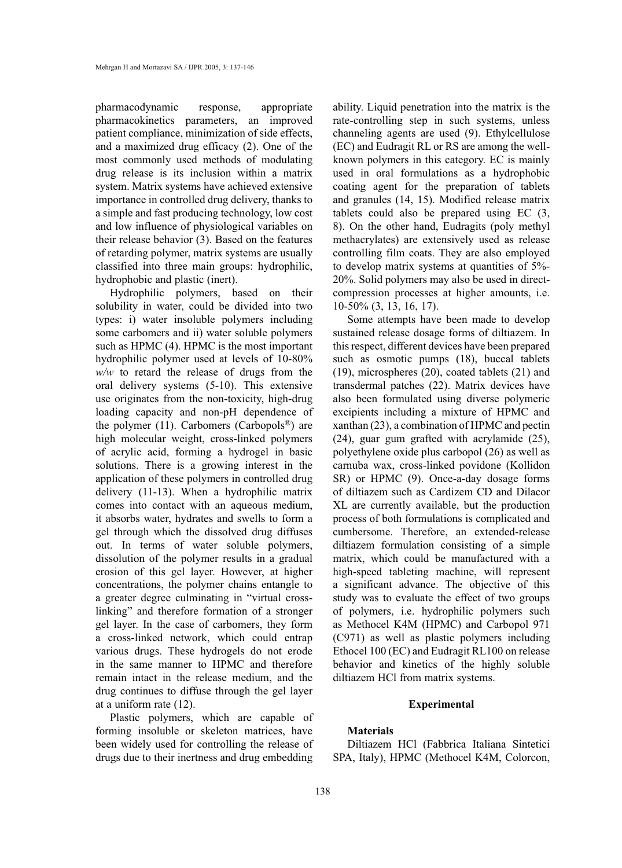pharmacodynamic response, appropriate pharmacokinetics parameters, an improved patient compliance, minimization of side effects, and a maximized drug efficacy (2). One of the most commonly used methods of modulating drug release is its inclusion within a matrix system. Matrix systems have achieved extensive importance in controlled drug delivery, thanks to a simple and fast producing technology, low cost and low influence of physiological variables on their release behavior (3). Based on the features of retarding polymer, matrix systems are usually classified into three main groups: hydrophilic, hydrophobic and plastic (inert).

Hydrophilic polymers, based on their solubility in water, could be divided into two types: i) water insoluble polymers including some carbomers and ii) water soluble polymers such as HPMC (4). HPMC is the most important hydrophilic polymer used at levels of 10-80% *w/w* to retard the release of drugs from the oral delivery systems (5-10). This extensive use originates from the non-toxicity, high-drug loading capacity and non-pH dependence of the polymer (11). Carbomers (Carbopols<sup>®</sup>) are high molecular weight, cross-linked polymers of acrylic acid, forming a hydrogel in basic solutions. There is a growing interest in the application of these polymers in controlled drug delivery (11-13). When a hydrophilic matrix comes into contact with an aqueous medium, it absorbs water, hydrates and swells to form a gel through which the dissolved drug diffuses out. In terms of water soluble polymers, dissolution of the polymer results in a gradual erosion of this gel layer. However, at higher concentrations, the polymer chains entangle to a greater degree culminating in "virtual crosslinking" and therefore formation of a stronger gel layer. In the case of carbomers, they form a cross-linked network, which could entrap various drugs. These hydrogels do not erode in the same manner to HPMC and therefore remain intact in the release medium, and the drug continues to diffuse through the gel layer at a uniform rate (12).

Plastic polymers, which are capable of forming insoluble or skeleton matrices, have been widely used for controlling the release of drugs due to their inertness and drug embedding

ability. Liquid penetration into the matrix is the rate-controlling step in such systems, unless channeling agents are used (9). Ethylcellulose (EC) and Eudragit RL or RS are among the wellknown polymers in this category. EC is mainly used in oral formulations as a hydrophobic coating agent for the preparation of tablets and granules (14, 15). Modified release matrix tablets could also be prepared using EC (3, 8). On the other hand, Eudragits (poly methyl methacrylates) are extensively used as release controlling film coats. They are also employed to develop matrix systems at quantities of 5%- 20%. Solid polymers may also be used in directcompression processes at higher amounts, i.e. 10-50% (3, 13, 16, 17).

Some attempts have been made to develop sustained release dosage forms of diltiazem. In this respect, different devices have been prepared such as osmotic pumps (18), buccal tablets (19), microspheres (20), coated tablets (21) and transdermal patches (22). Matrix devices have also been formulated using diverse polymeric excipients including a mixture of HPMC and xanthan (23), a combination of HPMC and pectin (24), guar gum grafted with acrylamide (25), polyethylene oxide plus carbopol (26) as well as carnuba wax, cross-linked povidone (Kollidon SR) or HPMC (9). Once-a-day dosage forms of diltiazem such as Cardizem CD and Dilacor XL are currently available, but the production process of both formulations is complicated and cumbersome. Therefore, an extended-release diltiazem formulation consisting of a simple matrix, which could be manufactured with a high-speed tableting machine, will represent a significant advance. The objective of this study was to evaluate the effect of two groups of polymers, i.e. hydrophilic polymers such as Methocel K4M (HPMC) and Carbopol 971 (C971) as well as plastic polymers including Ethocel 100 (EC) and Eudragit RL100 on release behavior and kinetics of the highly soluble diltiazem HCl from matrix systems.

# **Experimental**

# **Materials**

Diltiazem HCl (Fabbrica Italiana Sintetici SPA, Italy), HPMC (Methocel K4M, Colorcon,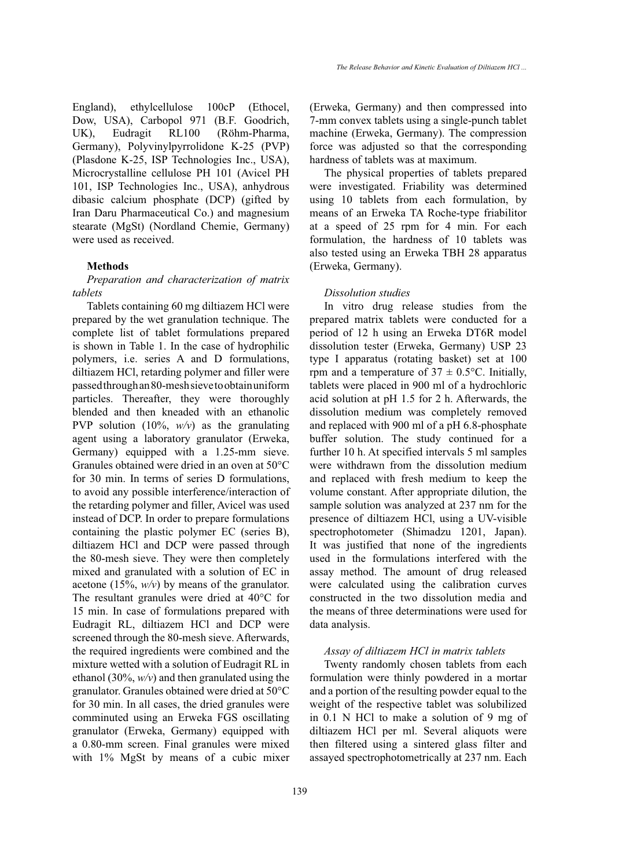England), ethylcellulose 100cP (Ethocel, Dow, USA), Carbopol 971 (B.F. Goodrich, UK), Eudragit RL100 (Röhm-Pharma, Germany), Polyvinylpyrrolidone K-25 (PVP) (Plasdone K-25, ISP Technologies Inc., USA), Microcrystalline cellulose PH 101 (Avicel PH 101, ISP Technologies Inc., USA), anhydrous dibasic calcium phosphate (DCP) (gifted by Iran Daru Pharmaceutical Co.) and magnesium stearate (MgSt) (Nordland Chemie, Germany) were used as received.

# **Methods**

# *Preparation and characterization of matrix tablets*

Tablets containing 60 mg diltiazem HCl were prepared by the wet granulation technique. The complete list of tablet formulations prepared is shown in Table 1. In the case of hydrophilic polymers, i.e. series A and D formulations, diltiazem HCl, retarding polymer and filler were passed through an 80-mesh sieve to obtain uniform particles. Thereafter, they were thoroughly blended and then kneaded with an ethanolic PVP solution (10%, *w/v*) as the granulating agent using a laboratory granulator (Erweka, Germany) equipped with a 1.25-mm sieve. Granules obtained were dried in an oven at 50°C for 30 min. In terms of series D formulations, to avoid any possible interference/interaction of the retarding polymer and filler, Avicel was used instead of DCP. In order to prepare formulations containing the plastic polymer EC (series B), diltiazem HCl and DCP were passed through the 80-mesh sieve. They were then completely mixed and granulated with a solution of EC in acetone (15%, *w/v*) by means of the granulator. The resultant granules were dried at 40°C for 15 min. In case of formulations prepared with Eudragit RL, diltiazem HCl and DCP were screened through the 80-mesh sieve. Afterwards, the required ingredients were combined and the mixture wetted with a solution of Eudragit RL in ethanol (30%, *w/v*) and then granulated using the granulator. Granules obtained were dried at 50°C for 30 min. In all cases, the dried granules were comminuted using an Erweka FGS oscillating granulator (Erweka, Germany) equipped with a 0.80-mm screen. Final granules were mixed with 1% MgSt by means of a cubic mixer

(Erweka, Germany) and then compressed into 7-mm convex tablets using a single-punch tablet machine (Erweka, Germany). The compression force was adjusted so that the corresponding hardness of tablets was at maximum.

The physical properties of tablets prepared were investigated. Friability was determined using 10 tablets from each formulation, by means of an Erweka TA Roche-type friabilitor at a speed of 25 rpm for 4 min. For each formulation, the hardness of 10 tablets was also tested using an Erweka TBH 28 apparatus (Erweka, Germany).

#### *Dissolution studies*

In vitro drug release studies from the prepared matrix tablets were conducted for a period of 12 h using an Erweka DT6R model dissolution tester (Erweka, Germany) USP 23 type I apparatus (rotating basket) set at 100 rpm and a temperature of  $37 \pm 0.5$ °C. Initially, tablets were placed in 900 ml of a hydrochloric acid solution at pH 1.5 for 2 h. Afterwards, the dissolution medium was completely removed and replaced with 900 ml of a pH 6.8-phosphate buffer solution. The study continued for a further 10 h. At specified intervals 5 ml samples were withdrawn from the dissolution medium and replaced with fresh medium to keep the volume constant. After appropriate dilution, the sample solution was analyzed at 237 nm for the presence of diltiazem HCl, using a UV-visible spectrophotometer (Shimadzu 1201, Japan). It was justified that none of the ingredients used in the formulations interfered with the assay method. The amount of drug released were calculated using the calibration curves constructed in the two dissolution media and the means of three determinations were used for data analysis.

## *Assay of diltiazem HCl in matrix tablets*

Twenty randomly chosen tablets from each formulation were thinly powdered in a mortar and a portion of the resulting powder equal to the weight of the respective tablet was solubilized in 0.1 N HCl to make a solution of 9 mg of diltiazem HCl per ml. Several aliquots were then filtered using a sintered glass filter and assayed spectrophotometrically at 237 nm. Each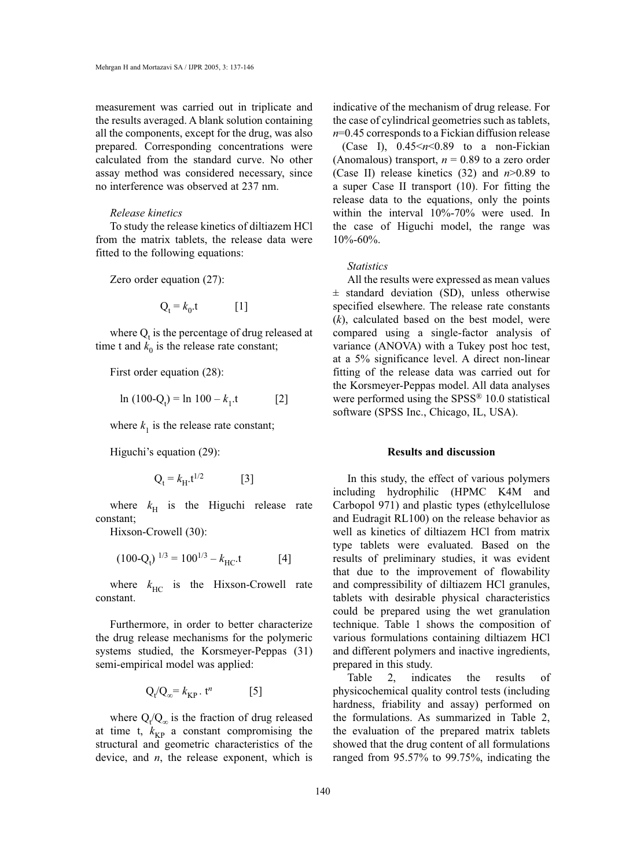measurement was carried out in triplicate and the results averaged. A blank solution containing all the components, except for the drug, was also prepared. Corresponding concentrations were calculated from the standard curve. No other assay method was considered necessary, since no interference was observed at 237 nm.

# *Release kinetics*

To study the release kinetics of diltiazem HCl from the matrix tablets, the release data were fitted to the following equations:

Zero order equation (27):

$$
Q_t = k_0.t \t[1]
$$

where  $Q_t$  is the percentage of drug released at time t and  $k_0$  is the release rate constant;

First order equation (28):

$$
\ln(100-Q_t) = \ln 100 - k_1 \tag{2}
$$

where  $k_1$  is the release rate constant;

Higuchi's equation (29):

$$
Q_t = k_H.t^{1/2} \tag{3}
$$

where  $k_H$  is the Higuchi release rate constant;

Hixson-Crowell (30):

$$
(100-Qt)1/3 = 1001/3 - kHC.t
$$
 [4]

where  $k_{\text{HC}}$  is the Hixson-Crowell rate constant.

Furthermore, in order to better characterize the drug release mechanisms for the polymeric systems studied, the Korsmeyer-Peppas (31) semi-empirical model was applied:

$$
Q_t/Q_\infty = k_{KP} \cdot t^n \qquad [5]
$$

where  $Q_t/Q_\infty$  is the fraction of drug released at time t,  $k_{KP}$  a constant compromising the structural and geometric characteristics of the device, and *n*, the release exponent, which is

indicative of the mechanism of drug release. For the case of cylindrical geometries such as tablets, *n*=0.45 corresponds to a Fickian diffusion release

(Case I),  $0.45 \le n \le 0.89$  to a non-Fickian (Anomalous) transport,  $n = 0.89$  to a zero order (Case II) release kinetics (32) and *n*>0.89 to a super Case II transport (10). For fitting the release data to the equations, only the points within the interval 10%-70% were used. In the case of Higuchi model, the range was 10%-60%.

## *Statistics*

All the results were expressed as mean values  $\pm$  standard deviation (SD), unless otherwise specified elsewhere. The release rate constants (*k*), calculated based on the best model, were compared using a single-factor analysis of variance (ANOVA) with a Tukey post hoc test, at a 5% significance level. A direct non-linear fitting of the release data was carried out for the Korsmeyer-Peppas model. All data analyses were performed using the SPSS<sup>®</sup> 10.0 statistical software (SPSS Inc., Chicago, IL, USA).

# **Results and discussion**

In this study, the effect of various polymers including hydrophilic (HPMC K4M and Carbopol 971) and plastic types (ethylcellulose and Eudragit RL100) on the release behavior as well as kinetics of diltiazem HCl from matrix type tablets were evaluated. Based on the results of preliminary studies, it was evident that due to the improvement of flowability and compressibility of diltiazem HCl granules, tablets with desirable physical characteristics could be prepared using the wet granulation technique. Table 1 shows the composition of various formulations containing diltiazem HCl and different polymers and inactive ingredients, prepared in this study.

Table 2, indicates the results of physicochemical quality control tests (including hardness, friability and assay) performed on the formulations. As summarized in Table 2, the evaluation of the prepared matrix tablets showed that the drug content of all formulations ranged from 95.57% to 99.75%, indicating the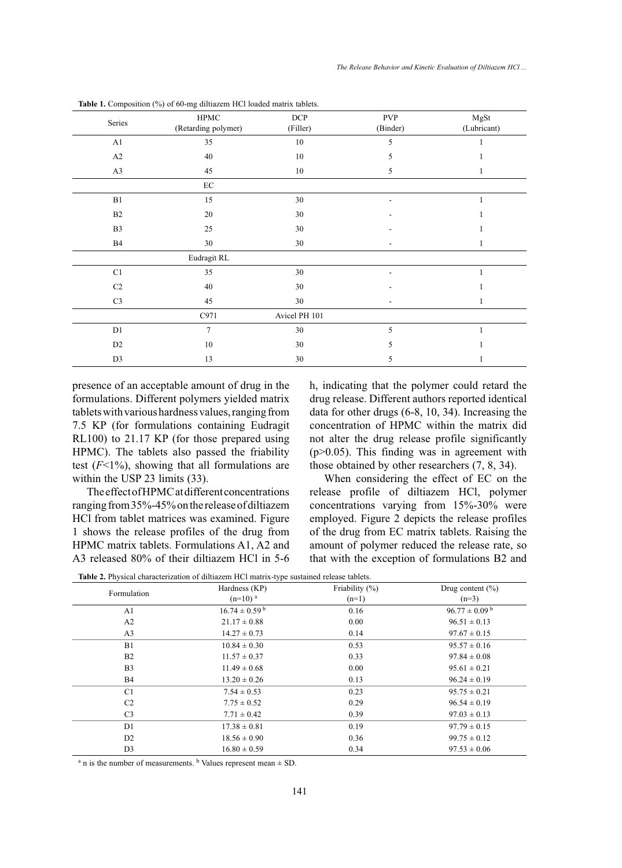| Series                     | HPMC<br>(Retarding polymer) | <b>DCP</b><br>(Filler) | <b>PVP</b><br>(Binder)   | MgSt<br>(Lubricant) |  |
|----------------------------|-----------------------------|------------------------|--------------------------|---------------------|--|
| A1                         | 35                          | 10                     | 5                        | 1                   |  |
| A2                         | 40                          | $10\,$                 | 5                        | 1                   |  |
| A3                         | 45                          | 10                     | 5                        | 1                   |  |
|                            | $\rm EC$                    |                        |                          |                     |  |
| B1                         | 15                          | 30                     | $\overline{\phantom{a}}$ | $\mathbf{1}$        |  |
| B2                         | 20                          | 30                     | ٠                        |                     |  |
| B <sub>3</sub>             | 25                          | 30                     |                          |                     |  |
| B4                         | $30\,$                      | 30                     | ۰                        | 1                   |  |
|                            | Eudragit RL                 |                        |                          |                     |  |
| $\mathop{\rm C}\nolimits1$ | 35                          | 30                     |                          |                     |  |
| $\rm{C2}$                  | 40                          | 30                     |                          |                     |  |
| C <sub>3</sub>             | 45                          | 30                     | $\overline{\phantom{a}}$ | 1                   |  |
|                            | C971                        | Avicel PH 101          |                          |                     |  |
| D1                         | $\overline{7}$              | 30                     | 5                        | 1                   |  |
| D <sub>2</sub>             | 10                          | 30                     | 5                        | 1                   |  |
| D <sub>3</sub>             | 13                          | 30                     | 5                        | 1                   |  |

Table 1. Composition (%) of 60-mg diltiazem HCl loaded matrix tablets.

presence of an acceptable amount of drug in the formulations. Different polymers yielded matrix tablets with various hardness values, ranging from 7.5 KP (for formulations containing Eudragit RL100) to 21.17 KP (for those prepared using HPMC). The tablets also passed the friability test  $(F<1%)$ , showing that all formulations are within the USP 23 limits (33).

The effect of HPMC at different concentrations ranging from 35%-45% on the release of diltiazem HCl from tablet matrices was examined. Figure 1 shows the release profiles of the drug from HPMC matrix tablets. Formulations A1, A2 and A3 released 80% of their diltiazem HCl in 5-6

h, indicating that the polymer could retard the drug release. Different authors reported identical data for other drugs (6-8, 10, 34). Increasing the concentration of HPMC within the matrix did not alter the drug release profile significantly (p>0.05). This finding was in agreement with those obtained by other researchers (7, 8, 34).

When considering the effect of EC on the release profile of diltiazem HCl, polymer concentrations varying from 15%-30% were employed. Figure 2 depicts the release profiles of the drug from EC matrix tablets. Raising the amount of polymer reduced the release rate, so that with the exception of formulations B2 and

| Formulation    | Hardness (KP)<br>$(n=10)^a$   | Friability $(\%)$<br>$(n=1)$ | Drug content $(\% )$<br>$(n=3)$ |  |  |  |  |
|----------------|-------------------------------|------------------------------|---------------------------------|--|--|--|--|
| A <sub>1</sub> | $16.74 \pm 0.59^{\mathrm{b}}$ | 0.16                         | $96.77 \pm 0.09^{\mathrm{b}}$   |  |  |  |  |
| A2             | $21.17 \pm 0.88$              | 0.00                         | $96.51 \pm 0.13$                |  |  |  |  |
| A <sub>3</sub> | $14.27 \pm 0.73$              | 0.14                         | $97.67 \pm 0.15$                |  |  |  |  |
| B1             | $10.84 \pm 0.30$              | 0.53                         | $95.57 \pm 0.16$                |  |  |  |  |
| B2             | $11.57 \pm 0.37$              | 0.33                         | $97.84 \pm 0.08$                |  |  |  |  |
| B <sub>3</sub> | $11.49 \pm 0.68$              | 0.00                         | $95.61 \pm 0.21$                |  |  |  |  |
| <b>B4</b>      | $13.20 \pm 0.26$              | 0.13                         | $96.24 \pm 0.19$                |  |  |  |  |
| C1             | $7.54 \pm 0.53$               | 0.23                         | $95.75 \pm 0.21$                |  |  |  |  |
| C <sub>2</sub> | $7.75 \pm 0.52$               | 0.29                         | $96.54 \pm 0.19$                |  |  |  |  |
| C <sub>3</sub> | $7.71 \pm 0.42$               | 0.39                         | $97.03 \pm 0.13$                |  |  |  |  |
| D <sub>1</sub> | $17.38 \pm 0.81$              | 0.19                         | $97.79 \pm 0.15$                |  |  |  |  |
| D <sub>2</sub> | $18.56 \pm 0.90$              | 0.36                         | $99.75 \pm 0.12$                |  |  |  |  |
| D <sub>3</sub> | $16.80 \pm 0.59$              | 0.34                         | $97.53 \pm 0.06$                |  |  |  |  |

**Table 2.** Physical characterization of diltiazem HCl matrix-type sustained release tablets.

 $a$  n is the number of measurements.  $b$  Values represent mean  $\pm$  SD.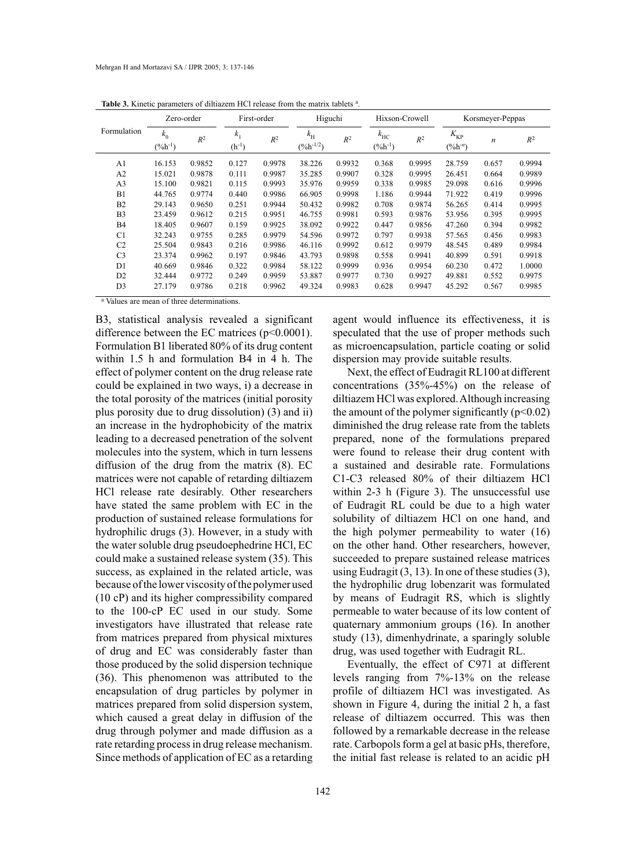| <b>Table 3.</b> Kinetic parameters of unitazent free release from the matrix tablets. |                       |        |                              |        |                               |        |                              |        |                              |                  |        |
|---------------------------------------------------------------------------------------|-----------------------|--------|------------------------------|--------|-------------------------------|--------|------------------------------|--------|------------------------------|------------------|--------|
| Formulation                                                                           | Zero-order            |        | First-order                  |        | Higuchi                       |        | Hixson-Crowell               |        | Korsmeyer-Peppas             |                  |        |
|                                                                                       | $k_0$<br>$(\%h^{-1})$ | $R^2$  | k <sub>1</sub><br>$(h^{-1})$ | $R^2$  | $k_{\rm H}$<br>$(\%h^{-1/2})$ | $R^2$  | $k_{\rm HC}$<br>$(\%h^{-1})$ | $R^2$  | $K_{\rm KP}$<br>$(\%h^{-n})$ | $\boldsymbol{n}$ | $R^2$  |
| A1                                                                                    | 16.153                | 0.9852 | 0.127                        | 0.9978 | 38.226                        | 0.9932 | 0.368                        | 0.9995 | 28.759                       | 0.657            | 0.9994 |
| A <sub>2</sub>                                                                        | 15.021                | 0.9878 | 0.111                        | 0.9987 | 35.285                        | 0.9907 | 0.328                        | 0.9995 | 26.451                       | 0.664            | 0.9989 |
| A <sub>3</sub>                                                                        | 15.100                | 0.9821 | 0.115                        | 0.9993 | 35.976                        | 0.9959 | 0.338                        | 0.9985 | 29.098                       | 0.616            | 0.9996 |
| B1                                                                                    | 44.765                | 0.9774 | 0.440                        | 0.9986 | 66.905                        | 0.9998 | 1.186                        | 0.9944 | 71.922                       | 0.419            | 0.9996 |
| B <sub>2</sub>                                                                        | 29.143                | 0.9650 | 0.251                        | 0.9944 | 50.432                        | 0.9982 | 0.708                        | 0.9874 | 56.265                       | 0.414            | 0.9995 |
| B <sub>3</sub>                                                                        | 23.459                | 0.9612 | 0.215                        | 0.9951 | 46.755                        | 0.9981 | 0.593                        | 0.9876 | 53.956                       | 0.395            | 0.9995 |
| <b>B4</b>                                                                             | 18.405                | 0.9607 | 0.159                        | 0.9925 | 38.092                        | 0.9922 | 0.447                        | 0.9856 | 47.260                       | 0.394            | 0.9982 |
| C <sub>1</sub>                                                                        | 32.243                | 0.9755 | 0.285                        | 0.9979 | 54.596                        | 0.9972 | 0.797                        | 0.9938 | 57.565                       | 0.456            | 0.9983 |
| C <sub>2</sub>                                                                        | 25.504                | 0.9843 | 0.216                        | 0.9986 | 46.116                        | 0.9992 | 0.612                        | 0.9979 | 48.545                       | 0.489            | 0.9984 |
| C <sub>3</sub>                                                                        | 23.374                | 0.9962 | 0.197                        | 0.9846 | 43.793                        | 0.9898 | 0.558                        | 0.9941 | 40.899                       | 0.591            | 0.9918 |
| D1                                                                                    | 40.669                | 0.9846 | 0.322                        | 0.9984 | 58.122                        | 0.9999 | 0.936                        | 0.9954 | 60.230                       | 0.472            | 1.0000 |
| D <sub>2</sub>                                                                        | 32.444                | 0.9772 | 0.249                        | 0.9959 | 53.887                        | 0.9977 | 0.730                        | 0.9927 | 49.881                       | 0.552            | 0.9975 |
| D <sub>3</sub>                                                                        | 27.179                | 0.9786 | 0.218                        | 0.9962 | 49.324                        | 0.9983 | 0.628                        | 0.9947 | 45.292                       | 0.567            | 0.9985 |

**Table 3.** Kinetic parameters of diltiazem HCl release from the matrix tablets <sup>a</sup> .

a Values are mean of three determinations.

B3, statistical analysis revealed a significant difference between the EC matrices  $(p<0.0001)$ . Formulation B1 liberated 80% of its drug content within 1.5 h and formulation B4 in 4 h. The effect of polymer content on the drug release rate could be explained in two ways, i) a decrease in the total porosity of the matrices (initial porosity plus porosity due to drug dissolution) (3) and ii) an increase in the hydrophobicity of the matrix leading to a decreased penetration of the solvent molecules into the system, which in turn lessens diffusion of the drug from the matrix (8). EC matrices were not capable of retarding diltiazem HCl release rate desirably. Other researchers have stated the same problem with EC in the production of sustained release formulations for hydrophilic drugs (3). However, in a study with the water soluble drug pseudoephedrine HCl, EC could make a sustained release system (35). This success, as explained in the related article, was because of the lower viscosity of the polymer used (10 cP) and its higher compressibility compared to the 100-cP EC used in our study. Some investigators have illustrated that release rate from matrices prepared from physical mixtures of drug and EC was considerably faster than those produced by the solid dispersion technique (36). This phenomenon was attributed to the encapsulation of drug particles by polymer in matrices prepared from solid dispersion system, which caused a great delay in diffusion of the drug through polymer and made diffusion as a rate retarding process in drug release mechanism. Since methods of application of EC as a retarding

agent would influence its effectiveness, it is speculated that the use of proper methods such as microencapsulation, particle coating or solid dispersion may provide suitable results.

Next, the effect of Eudragit RL100 at different concentrations (35%-45%) on the release of diltiazem HCl was explored. Although increasing the amount of the polymer significantly  $(p<0.02)$ diminished the drug release rate from the tablets prepared, none of the formulations prepared were found to release their drug content with a sustained and desirable rate. Formulations C1-C3 released 80% of their diltiazem HCl within 2-3 h (Figure 3). The unsuccessful use of Eudragit RL could be due to a high water solubility of diltiazem HCl on one hand, and the high polymer permeability to water (16) on the other hand. Other researchers, however, succeeded to prepare sustained release matrices using Eudragit  $(3, 13)$ . In one of these studies  $(3)$ , the hydrophilic drug lobenzarit was formulated by means of Eudragit RS, which is slightly permeable to water because of its low content of quaternary ammonium groups (16). In another study (13), dimenhydrinate, a sparingly soluble drug, was used together with Eudragit RL.

Eventually, the effect of C971 at different levels ranging from 7%-13% on the release profile of diltiazem HCl was investigated. As shown in Figure 4, during the initial 2 h, a fast release of diltiazem occurred. This was then followed by a remarkable decrease in the release rate. Carbopols form a gel at basic pHs, therefore, the initial fast release is related to an acidic pH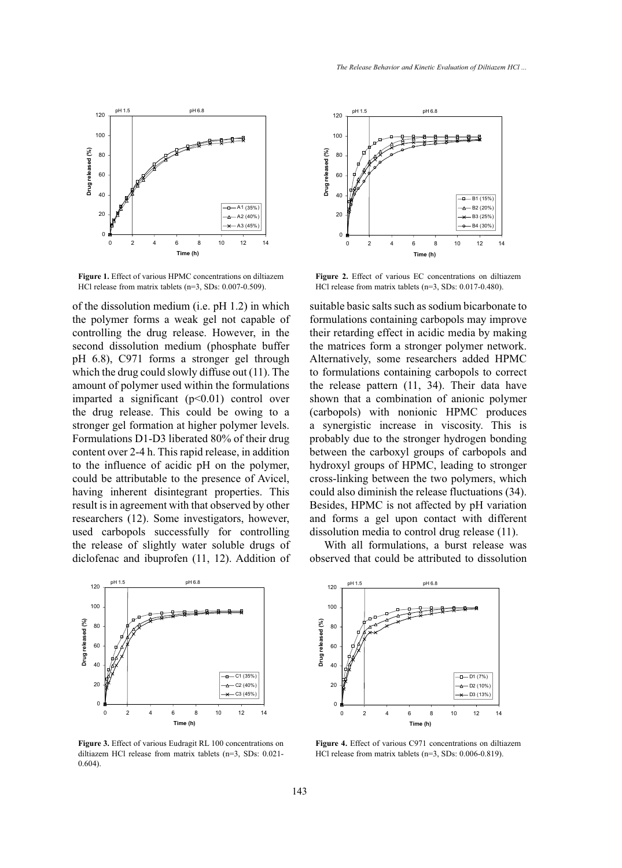

**Figure 1.** Effect of various HPMC concentrations on diltiazem HCl release from matrix tablets (n=3, SDs: 0.007-0.509).

of the dissolution medium (i.e. pH 1.2) in which the polymer forms a weak gel not capable of controlling the drug release. However, in the second dissolution medium (phosphate buffer pH 6.8), C971 forms a stronger gel through which the drug could slowly diffuse out (11). The amount of polymer used within the formulations imparted a significant  $(p<0.01)$  control over the drug release. This could be owing to a stronger gel formation at higher polymer levels. Formulations D1-D3 liberated 80% of their drug content over 2-4 h. This rapid release, in addition to the influence of acidic pH on the polymer, could be attributable to the presence of Avicel, having inherent disintegrant properties. This result is in agreement with that observed by other researchers (12). Some investigators, however, used carbopols successfully for controlling the release of slightly water soluble drugs of diclofenac and ibuprofen (11, 12). Addition of



**Figure 3.** Effect of various Eudragit RL 100 concentrations on diltiazem HCl release from matrix tablets (n=3, SDs: 0.021- 0.604).



**Figure 2.** Effect of various EC concentrations on diltiazem HCl release from matrix tablets (n=3, SDs: 0.017-0.480).

suitable basic salts such as sodium bicarbonate to formulations containing carbopols may improve their retarding effect in acidic media by making the matrices form a stronger polymer network. Alternatively, some researchers added HPMC to formulations containing carbopols to correct the release pattern (11, 34). Their data have shown that a combination of anionic polymer (carbopols) with nonionic HPMC produces a synergistic increase in viscosity. This is probably due to the stronger hydrogen bonding between the carboxyl groups of carbopols and hydroxyl groups of HPMC, leading to stronger cross-linking between the two polymers, which could also diminish the release fluctuations (34). Besides, HPMC is not affected by pH variation and forms a gel upon contact with different dissolution media to control drug release (11).

With all formulations, a burst release was observed that could be attributed to dissolution



**Figure 4.** Effect of various C971 concentrations on diltiazem HCl release from matrix tablets (n=3, SDs: 0.006-0.819).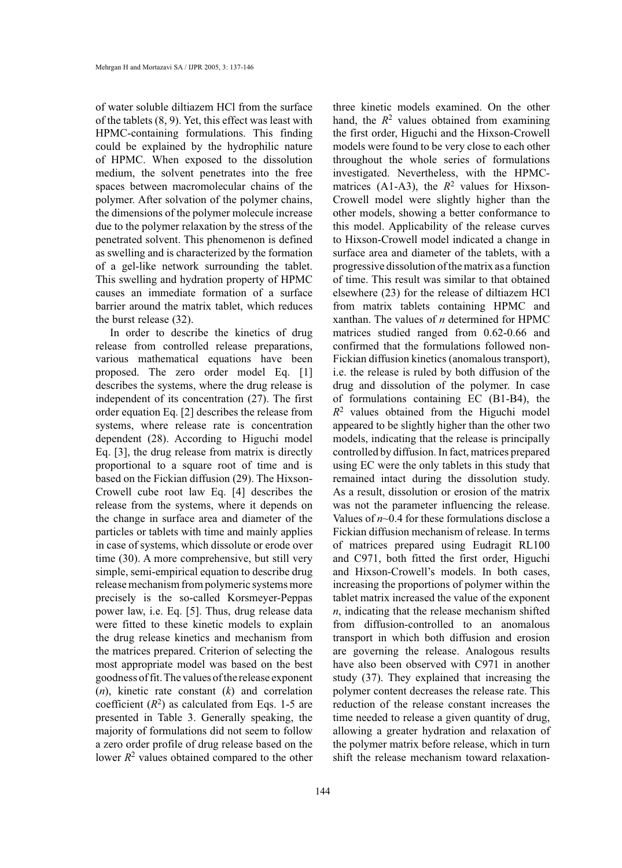of water soluble diltiazem HCl from the surface of the tablets (8, 9). Yet, this effect was least with HPMC-containing formulations. This finding could be explained by the hydrophilic nature of HPMC. When exposed to the dissolution medium, the solvent penetrates into the free spaces between macromolecular chains of the polymer. After solvation of the polymer chains, the dimensions of the polymer molecule increase due to the polymer relaxation by the stress of the penetrated solvent. This phenomenon is defined as swelling and is characterized by the formation of a gel-like network surrounding the tablet. This swelling and hydration property of HPMC causes an immediate formation of a surface barrier around the matrix tablet, which reduces the burst release (32).

In order to describe the kinetics of drug release from controlled release preparations, various mathematical equations have been proposed. The zero order model Eq. [1] describes the systems, where the drug release is independent of its concentration (27). The first order equation Eq. [2] describes the release from systems, where release rate is concentration dependent (28). According to Higuchi model Eq. [3], the drug release from matrix is directly proportional to a square root of time and is based on the Fickian diffusion (29). The Hixson-Crowell cube root law Eq. [4] describes the release from the systems, where it depends on the change in surface area and diameter of the particles or tablets with time and mainly applies in case of systems, which dissolute or erode over time (30). A more comprehensive, but still very simple, semi-empirical equation to describe drug release mechanism from polymeric systems more precisely is the so-called Korsmeyer-Peppas power law, i.e. Eq. [5]. Thus, drug release data were fitted to these kinetic models to explain the drug release kinetics and mechanism from the matrices prepared. Criterion of selecting the most appropriate model was based on the best goodness of fit. The values of the release exponent (*n*), kinetic rate constant (*k*) and correlation coefficient  $(R^2)$  as calculated from Eqs. 1-5 are presented in Table 3. Generally speaking, the majority of formulations did not seem to follow a zero order profile of drug release based on the lower  $R^2$  values obtained compared to the other

three kinetic models examined. On the other hand, the  $R^2$  values obtained from examining the first order, Higuchi and the Hixson-Crowell models were found to be very close to each other throughout the whole series of formulations investigated. Nevertheless, with the HPMCmatrices (A1-A3), the  $R^2$  values for Hixson-Crowell model were slightly higher than the other models, showing a better conformance to this model. Applicability of the release curves to Hixson-Crowell model indicated a change in surface area and diameter of the tablets, with a progressive dissolution of the matrix as a function of time. This result was similar to that obtained elsewhere (23) for the release of diltiazem HCl from matrix tablets containing HPMC and xanthan. The values of *n* determined for HPMC matrices studied ranged from 0.62-0.66 and confirmed that the formulations followed non-Fickian diffusion kinetics (anomalous transport), i.e. the release is ruled by both diffusion of the drug and dissolution of the polymer. In case of formulations containing EC (B1-B4), the *R*2 values obtained from the Higuchi model appeared to be slightly higher than the other two models, indicating that the release is principally controlled by diffusion. In fact, matrices prepared using EC were the only tablets in this study that remained intact during the dissolution study. As a result, dissolution or erosion of the matrix was not the parameter influencing the release. Values of  $n$  $\sim$ 0.4 for these formulations disclose a Fickian diffusion mechanism of release. In terms of matrices prepared using Eudragit RL100 and C971, both fitted the first order, Higuchi and Hixson-Crowell's models. In both cases, increasing the proportions of polymer within the tablet matrix increased the value of the exponent *n*, indicating that the release mechanism shifted from diffusion-controlled to an anomalous transport in which both diffusion and erosion are governing the release. Analogous results have also been observed with C971 in another study (37). They explained that increasing the polymer content decreases the release rate. This reduction of the release constant increases the time needed to release a given quantity of drug, allowing a greater hydration and relaxation of the polymer matrix before release, which in turn shift the release mechanism toward relaxation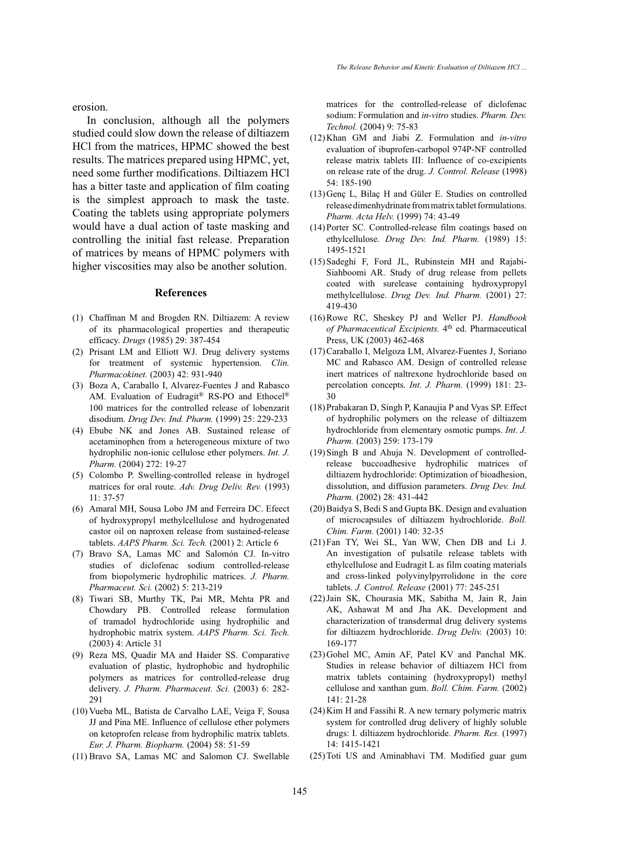erosion.

In conclusion, although all the polymers studied could slow down the release of diltiazem HCl from the matrices, HPMC showed the best results. The matrices prepared using HPMC, yet, need some further modifications. Diltiazem HCl has a bitter taste and application of film coating is the simplest approach to mask the taste. Coating the tablets using appropriate polymers would have a dual action of taste masking and controlling the initial fast release. Preparation of matrices by means of HPMC polymers with higher viscosities may also be another solution.

#### **References**

- (1) Chaffman M and Brogden RN. Diltiazem: A review of its pharmacological properties and therapeutic efficacy. *Drugs* (1985) 29: 387-454
- (2) Prisant LM and Elliott WJ. Drug delivery systems for treatment of systemic hypertension. *Clin. Pharmacokinet.* (2003) 42: 931-940
- Boza A, Caraballo I, Alvarez-Fuentes J and Rabasco (3) AM. Evaluation of Eudragit® RS-PO and Ethocel® 100 matrices for the controlled release of lobenzarit disodium. *Drug Dev. Ind. Pharm.* (1999) 25: 229-233
- Ebube NK and Jones AB. Sustained release of (4) acetaminophen from a heterogeneous mixture of two hydrophilic non-ionic cellulose ether polymers. *Int. J. Pharm.* (2004) 272: 19-27
- (5) Colombo P. Swelling-controlled release in hydrogel matrices for oral route. *Adv. Drug Deliv. Rev.* (1993)  $11 \cdot 37 - 57$
- Amaral MH, Sousa Lobo JM and Ferreira DC. Efeect (6) of hydroxypropyl methylcellulose and hydrogenated castor oil on naproxen release from sustained-release tablets. *AAPS Pharm. Sci. Tech.* (2001) 2: Article 6
- Bravo SA, Lamas MC and Salomón CJ. In-vitro (7) studies of diclofenac sodium controlled-release from biopolymeric hydrophilic matrices. *J. Pharm. Pharmaceut. Sci.* (2002) 5: 213-219
- Tiwari SB, Murthy TK, Pai MR, Mehta PR and (8) Chowdary PB. Controlled release formulation of tramadol hydrochloride using hydrophilic and hydrophobic matrix system. *AAPS Pharm. Sci. Tech.* (2003) 4: Article 31
- (9) Reza MS, Quadir MA and Haider SS. Comparative evaluation of plastic, hydrophobic and hydrophilic polymers as matrices for controlled-release drug delivery. *J. Pharm. Pharmaceut. Sci.* (2003) 6: 282- 291
- (10) Vueba ML, Batista de Carvalho LAE, Veiga F, Sousa JJ and Pina ME. Influence of cellulose ether polymers on ketoprofen release from hydrophilic matrix tablets. *Eur. J. Pharm. Biopharm.* (2004) 58: 51-59
- (11) Bravo SA, Lamas MC and Salomon CJ. Swellable

matrices for the controlled-release of diclofenac sodium: Formulation and *in-vitro* studies. *Pharm. Dev. Technol.* (2004) 9: 75-83

- Khan GM and Jiabi Z. Formulation and *in-vitro* (12) evaluation of ibuprofen-carbopol 974P-NF controlled release matrix tablets III: Influence of co-excipients on release rate of the drug. *J. Control. Release* (1998) 54: 185-190
- (13) Genç L, Bilaç H and Güler E. Studies on controlled release dimenhydrinate from matrix tablet formulations. *Pharm. Acta Helv.* (1999) 74: 43-49
- (14) Porter SC. Controlled-release film coatings based on ethylcellulose. *Drug Dev. Ind. Pharm.* (1989) 15: 1495-1521
- (15) Sadeghi F, Ford JL, Rubinstein MH and Rajabi-Siahboomi AR. Study of drug release from pellets coated with surelease containing hydroxypropyl methylcellulose. *Drug Dev. Ind. Pharm.* (2001) 27: 419-430
- (16) Rowe RC, Sheskey PJ and Weller PJ. *Handbook of Pharmaceutical Excipients.* 4<sup>th</sup> ed. Pharmaceutical Press, UK (2003) 462-468
- (17) Caraballo I, Melgoza LM, Alvarez-Fuentes J, Soriano MC and Rabasco AM. Design of controlled release inert matrices of naltrexone hydrochloride based on percolation concepts. *Int. J. Pharm.* (1999) 181: 23- 30
- (18) Prabakaran D, Singh P, Kanaujia P and Vyas SP. Effect of hydrophilic polymers on the release of diltiazem hydrochloride from elementary osmotic pumps. *Int. J. Pharm.* (2003) 259: 173-179
- (19) Singh B and Ahuja N. Development of controlledrelease buccoadhesive hydrophilic matrices of diltiazem hydrochloride: Optimization of bioadhesion, dissolution, and diffusion parameters. *Drug Dev. Ind. Pharm.* (2002) 28: 431-442
- (20) Baidya S, Bedi S and Gupta BK. Design and evaluation of microcapsules of diltiazem hydrochloride. *Boll. Chim. Farm.* (2001) 140: 32-35
- (21) Fan TY, Wei SL, Yan WW, Chen DB and Li J. An investigation of pulsatile release tablets with ethylcellulose and Eudragit L as film coating materials and cross-linked polyvinylpyrrolidone in the core tablets. *J. Control. Release* (2001) 77: 245-251
- (22) Jain SK, Chourasia MK, Sabitha M, Jain R, Jain AK, Ashawat M and Jha AK. Development and characterization of transdermal drug delivery systems for diltiazem hydrochloride. *Drug Deliv.* (2003) 10: 169-177
- (23) Gohel MC, Amin AF, Patel KV and Panchal MK. Studies in release behavior of diltiazem HCl from matrix tablets containing (hydroxypropyl) methyl cellulose and xanthan gum. *Boll. Chim. Farm.* (2002) 141: 21-28
- $(24)$  Kim H and Fassihi R. A new ternary polymeric matrix system for controlled drug delivery of highly soluble drugs: I. diltiazem hydrochloride. *Pharm. Res.* (1997) 14: 1415-1421
- (25) Toti US and Aminabhavi TM. Modified guar gum